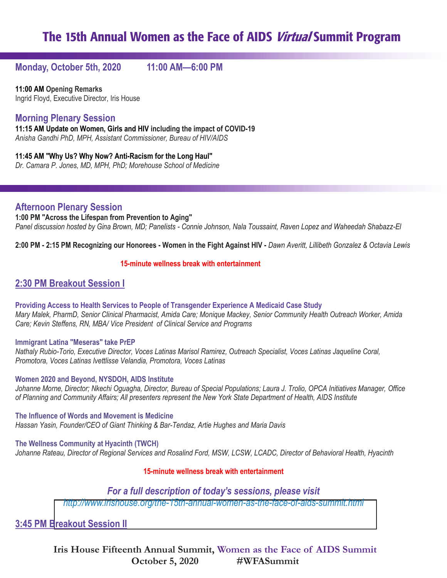**Monday, October 5th, 2020 11:00 AM—6:00 PM**

**11:00 AM Opening Remarks** Ingrid Floyd, Executive Director, Iris House

# **Morning Plenary Session**

**11:15 AM Update on Women, Girls and HIV including the impact of COVID-19** *Anisha Gandhi PhD, MPH, Assistant Commissioner, Bureau of HIV/AIDS*

**11:45 AM "Why Us? Why Now? Anti-Racism for the Long Haul"** *Dr. Camara P. Jones, MD, MPH, PhD; Morehouse School of Medicine* 

**Afternoon Plenary Session**

**1:00 PM "Across the Lifespan from Prevention to Aging"** *Panel discussion hosted by Gina Brown, MD; Panelists - Connie Johnson, Nala Toussaint, Raven Lopez and Waheedah Shabazz-El*

**2:00 PM - 2:15 PM Recognizing our Honorees - Women in the Fight Against HIV -** *Dawn Averitt, Lillibeth Gonzalez & Octavia Lewis*

### **15-minute wellness break with entertainment**

# **2:30 PM Breakout Session I**

**Providing Access to Health Services to People of Transgender Experience A Medicaid Case Study** *Mary Malek, PharmD, Senior Clinical Pharmacist, Amida Care; Monique Mackey, Senior Community Health Outreach Worker, Amida Care; Kevin Steffens, RN, MBA/ Vice President of Clinical Service and Programs* 

#### **Immigrant Latina "Meseras" take PrEP**

*Nathaly Rubio-Torio, Executive Director, Voces Latinas Marisol Ramirez, Outreach Specialist, Voces Latinas Jaqueline Coral, Promotora, Voces Latinas Ivettlisse Velandia, Promotora, Voces Latinas* 

**Women 2020 and Beyond, NYSDOH, AIDS Institute**

*Johanne Morne, Director; Nkechi Oguagha, Director, Bureau of Special Populations; Laura J. Trolio, OPCA Initiatives Manager, Office of Planning and Community Affairs; All presenters represent the New York State Department of Health, AIDS Institute*

**The Influence of Words and Movement is Medicine**  *Hassan Yasin, Founder/CEO of Giant Thinking & Bar-Tendaz, Artie Hughes and Maria Davis* 

**The Wellness Community at Hyacinth (TWCH)**  *Johanne Rateau, Director of Regional Services and Rosalind Ford, MSW, LCSW, LCADC, Director of Behavioral Health, Hyacinth* 

### **15-minute wellness break with entertainment**

## *For a full description of today's sessions, please visit*

*[http://www.irishouse.org/the-15th-annual-women-as-the-face-of-aids-summit.html](http://www.irishouse.org/the-14th-annual-women-as-the-face-of-aids-summit.html)*

**3:45 PM Breakout Session II**

**Iris House Fifteenth Annual Summit, Women as the Face of AIDS Summit October 5, 2020 #WFASummit**